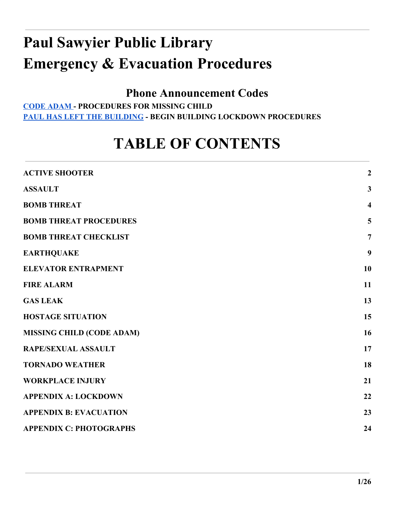# **Paul Sawyier Public Library Emergency & Evacuation Procedures**

## **Phone Announcement Codes**

**[CODE ADAM -](#page-15-0) PROCEDURES FOR MISSING CHILD [PAUL HAS LEFT THE BUILDING](#page-21-0) - BEGIN BUILDING LOCKDOWN PROCEDURES**

## **TABLE OF CONTENTS**

| <b>ACTIVE SHOOTER</b>            | $\overline{2}$          |
|----------------------------------|-------------------------|
| <b>ASSAULT</b>                   | $\mathbf{3}$            |
| <b>BOMB THREAT</b>               | $\overline{\mathbf{4}}$ |
| <b>BOMB THREAT PROCEDURES</b>    | 5                       |
| <b>BOMB THREAT CHECKLIST</b>     | $\overline{7}$          |
| <b>EARTHQUAKE</b>                | 9                       |
| <b>ELEVATOR ENTRAPMENT</b>       | 10                      |
| <b>FIRE ALARM</b>                | 11                      |
| <b>GAS LEAK</b>                  | 13                      |
| <b>HOSTAGE SITUATION</b>         | 15                      |
| <b>MISSING CHILD (CODE ADAM)</b> | 16                      |
| <b>RAPE/SEXUAL ASSAULT</b>       | 17                      |
| <b>TORNADO WEATHER</b>           | 18                      |
| <b>WORKPLACE INJURY</b>          | 21                      |
| <b>APPENDIX A: LOCKDOWN</b>      | 22                      |
| <b>APPENDIX B: EVACUATION</b>    | 23                      |
| <b>APPENDIX C: PHOTOGRAPHS</b>   | 24                      |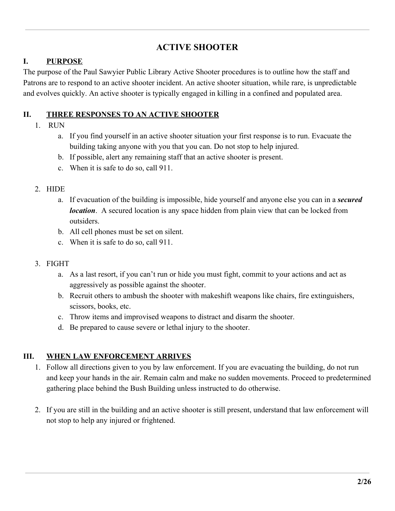## **ACTIVE SHOOTER**

#### <span id="page-1-0"></span>**I. PURPOSE**

The purpose of the Paul Sawyier Public Library Active Shooter procedures is to outline how the staff and Patrons are to respond to an active shooter incident. An active shooter situation, while rare, is unpredictable and evolves quickly. An active shooter is typically engaged in killing in a confined and populated area.

#### **II. THREE RESPONSES TO AN ACTIVE SHOOTER**

#### 1. RUN

- a. If you find yourself in an active shooter situation your first response is to run. Evacuate the building taking anyone with you that you can. Do not stop to help injured.
- b. If possible, alert any remaining staff that an active shooter is present.
- c. When it is safe to do so, call 911.

#### 2. HIDE

- a. If evacuation of the building is impossible, hide yourself and anyone else you can in a *secured location*. A secured location is any space hidden from plain view that can be locked from outsiders.
- b. All cell phones must be set on silent.
- c. When it is safe to do so, call 911.

#### 3. FIGHT

- a. As a last resort, if you can't run or hide you must fight, commit to your actions and act as aggressively as possible against the shooter.
- b. Recruit others to ambush the shooter with makeshift weapons like chairs, fire extinguishers, scissors, books, etc.
- c. Throw items and improvised weapons to distract and disarm the shooter.
- d. Be prepared to cause severe or lethal injury to the shooter.

#### **III. WHEN LAW ENFORCEMENT ARRIVES**

- 1. Follow all directions given to you by law enforcement. If you are evacuating the building, do not run and keep your hands in the air. Remain calm and make no sudden movements. Proceed to predetermined gathering place behind the Bush Building unless instructed to do otherwise.
- 2. If you are still in the building and an active shooter is still present, understand that law enforcement will not stop to help any injured or frightened.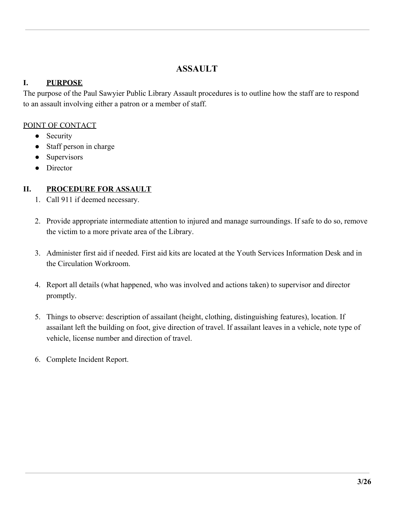## **ASSAULT**

#### <span id="page-2-0"></span>**I. PURPOSE**

The purpose of the Paul Sawyier Public Library Assault procedures is to outline how the staff are to respond to an assault involving either a patron or a member of staff.

#### POINT OF CONTACT

- Security
- Staff person in charge
- Supervisors
- Director

## **II. PROCEDURE FOR ASSAULT**

- 1. Call 911 if deemed necessary.
- 2. Provide appropriate intermediate attention to injured and manage surroundings. If safe to do so, remove the victim to a more private area of the Library.
- 3. Administer first aid if needed. First aid kits are located at the Youth Services Information Desk and in the Circulation Workroom.
- 4. Report all details (what happened, who was involved and actions taken) to supervisor and director promptly.
- 5. Things to observe: description of assailant (height, clothing, distinguishing features), location. If assailant left the building on foot, give direction of travel. If assailant leaves in a vehicle, note type of vehicle, license number and direction of travel.
- 6. Complete Incident Report.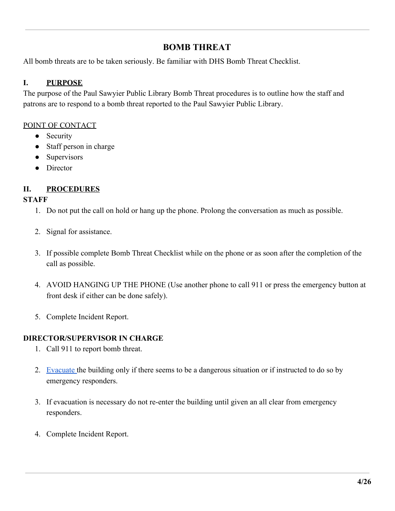## **BOMB THREAT**

<span id="page-3-0"></span>All bomb threats are to be taken seriously. Be familiar with DHS Bomb Threat Checklist.

#### **I. PURPOSE**

The purpose of the Paul Sawyier Public Library Bomb Threat procedures is to outline how the staff and patrons are to respond to a bomb threat reported to the Paul Sawyier Public Library.

#### POINT OF CONTACT

- Security
- Staff person in charge
- Supervisors
- Director

## **II. PROCEDURES**

#### **STAFF**

- 1. Do not put the call on hold or hang up the phone. Prolong the conversation as much as possible.
- 2. Signal for assistance.
- 3. If possible complete Bomb Threat Checklist while on the phone or as soon after the completion of the call as possible.
- 4. AVOID HANGING UP THE PHONE (Use another phone to call 911 or press the emergency button at front desk if either can be done safely).
- 5. Complete Incident Report.

- 1. Call 911 to report bomb threat.
- 2. [Evacuate t](#page-10-0)he building only if there seems to be a dangerous situation or if instructed to do so by emergency responders.
- 3. If evacuation is necessary do not re-enter the building until given an all clear from emergency responders.
- 4. Complete Incident Report.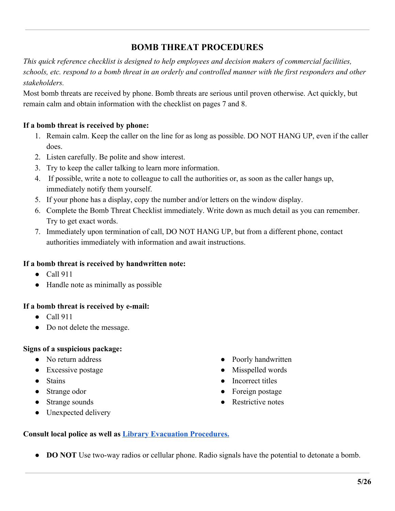## **BOMB THREAT PROCEDURES**

<span id="page-4-0"></span>*This quick reference checklist is designed to help employees and decision makers of commercial facilities, schools, etc. respond to a bomb threat in an orderly and controlled manner with the first responders and other stakeholders.*

Most bomb threats are received by phone. Bomb threats are serious until proven otherwise. Act quickly, but remain calm and obtain information with the checklist on pages 7 and 8.

#### **If a bomb threat is received by phone:**

- 1. Remain calm. Keep the caller on the line for as long as possible. DO NOT HANG UP, even if the caller does.
- 2. Listen carefully. Be polite and show interest.
- 3. Try to keep the caller talking to learn more information.
- 4. If possible, write a note to colleague to call the authorities or, as soon as the caller hangs up, immediately notify them yourself.
- 5. If your phone has a display, copy the number and/or letters on the window display.
- 6. Complete the Bomb Threat Checklist immediately. Write down as much detail as you can remember. Try to get exact words.
- 7. Immediately upon termination of call, DO NOT HANG UP, but from a different phone, contact authorities immediately with information and await instructions.

#### **If a bomb threat is received by handwritten note:**

- Call 911
- Handle note as minimally as possible

#### **If a bomb threat is received by e-mail:**

- Call 911
- Do not delete the message.

#### **Signs of a suspicious package:**

- No return address
- Excessive postage
- Stains
- Strange odor
- Strange sounds
- Unexpected delivery
- Poorly handwritten
- Misspelled words
- Incorrect titles
- Foreign postage
- Restrictive notes

#### **Consult local police as well as [Library Evacuation Procedures.](#page-10-0)**

• **DO NOT** Use two-way radios or cellular phone. Radio signals have the potential to detonate a bomb.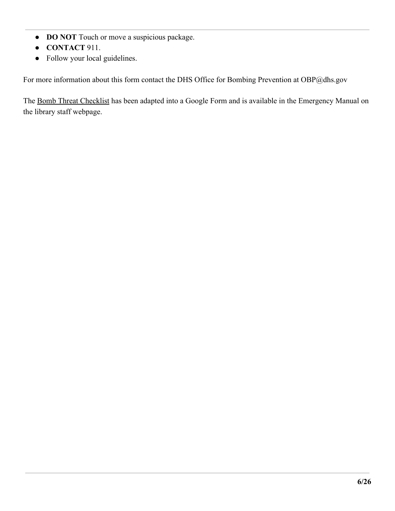- **DO NOT** Touch or move a suspicious package.
- **CONTACT** 911.
- Follow your local guidelines.

For more information about this form contact the DHS Office for Bombing Prevention at OBP@dhs.gov

The [Bomb Threat Checklist](https://docs.google.com/forms/d/e/1FAIpQLSf2A0orQOMVQ4o-cqsandtVDZ2UZaxYsroEWv4Y-e5z-kPG5w/viewform) has been adapted into a Google Form and is available in the Emergency Manual on the library staff webpage.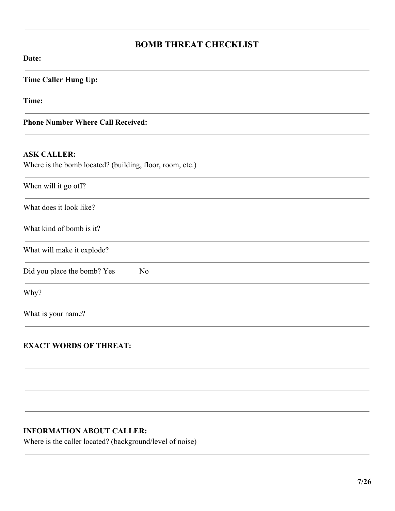## **BOMB THREAT CHECKLIST**

# <span id="page-6-0"></span>**Date: Time Caller Hung Up: Time: Phone Number Where Call Received: ASK CALLER:** Where is the bomb located? (building, floor, room, etc.) When will it go off? What does it look like? What kind of bomb is it? What will make it explode? Did you place the bomb? Yes No Why? What is your name?

#### **EXACT WORDS OF THREAT:**

#### **INFORMATION ABOUT CALLER:**

Where is the caller located? (background/level of noise)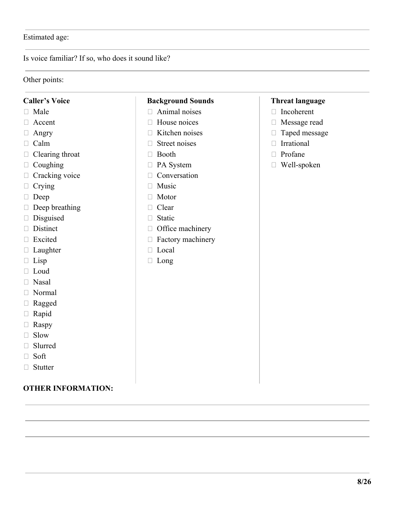#### Estimated age:

Is voice familiar? If so, who does it sound like?

#### Other points:

#### **Caller's Voice**

- $\Box$  Male
- Accent
- Angry
- Calm
- $\Box$  Clearing throat
- $\Box$  Coughing
- $\Box$  Cracking voice
- □ Crying
- Deep
- $\Box$  Deep breathing
- $\square$  Disguised
- Distinct
- □ Excited
- □ Laughter
- $\Box$  Lisp
- $\Box$  Loud
- Nasal
- Normal
- □ Ragged
- Rapid
- □ Raspy
- □ Slow
- Slurred
- $\Box$  Soft
- □ Stutter

#### **OTHER INFORMATION:**

#### **Background Sounds**

- $\Box$  Animal noises
- $\Box$  House noices
- $\Box$  Kitchen noises
- $\Box$  Street noises
- □ Booth
- PA System
- $\Box$  Conversation
- $\Box$  Music
- □ Motor
- □ Clear
- □ Static
- $\Box$  Office machinery
- □ Factory machinery
- □ Local
- □ Long

#### **Threat language**

- □ Incoherent
- Message read
- □ Taped message
- Irrational
- $\Box$  Profane
- Well-spoken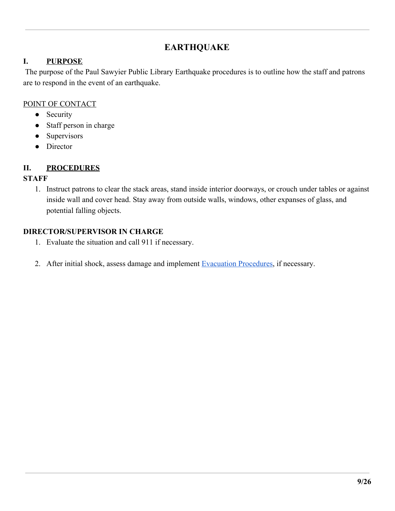## **EARTHQUAKE**

#### <span id="page-8-0"></span>**I. PURPOSE**

 The purpose of the Paul Sawyier Public Library Earthquake procedures is to outline how the staff and patrons are to respond in the event of an earthquake.

#### POINT OF CONTACT

- Security
- Staff person in charge
- Supervisors
- Director

#### **II. PROCEDURES**

#### **STAFF**

1. Instruct patrons to clear the stack areas, stand inside interior doorways, or crouch under tables or against inside wall and cover head. Stay away from outside walls, windows, other expanses of glass, and potential falling objects.

- 1. Evaluate the situation and call 911 if necessary.
- 2. After initial shock, assess damage and implement [Evacuation Procedures,](#page-10-0) if necessary.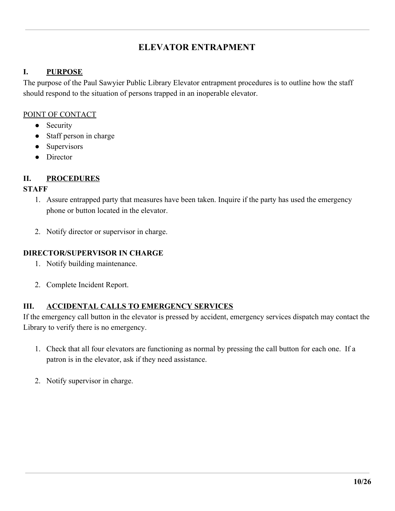## **ELEVATOR ENTRAPMENT**

#### <span id="page-9-0"></span>**I. PURPOSE**

The purpose of the Paul Sawyier Public Library Elevator entrapment procedures is to outline how the staff should respond to the situation of persons trapped in an inoperable elevator.

#### POINT OF CONTACT

- Security
- Staff person in charge
- Supervisors
- Director

#### **II. PROCEDURES**

#### **STAFF**

- 1. Assure entrapped party that measures have been taken. Inquire if the party has used the emergency phone or button located in the elevator.
- 2. Notify director or supervisor in charge.

#### **DIRECTOR/SUPERVISOR IN CHARGE**

- 1. Notify building maintenance.
- 2. Complete Incident Report.

#### **III. ACCIDENTAL CALLS TO EMERGENCY SERVICES**

If the emergency call button in the elevator is pressed by accident, emergency services dispatch may contact the Library to verify there is no emergency.

- 1. Check that all four elevators are functioning as normal by pressing the call button for each one. If a patron is in the elevator, ask if they need assistance.
- 2. Notify supervisor in charge.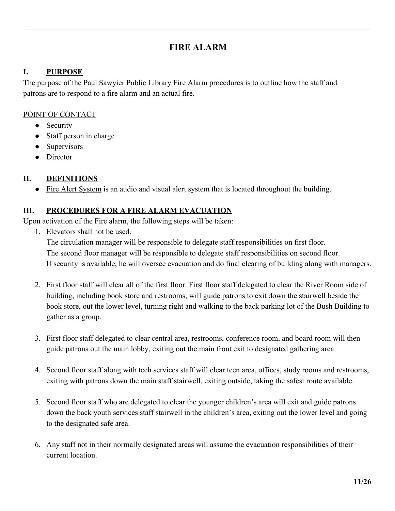## **FIRE ALARM**

#### <span id="page-10-0"></span>**I. PURPOSE**

The purpose of the Paul Sawyier Public Library Fire Alarm procedures is to outline how the staff and patrons are to respond to a fire alarm and an actual fire.

#### POINT OF CONTACT

- Security
- Staff person in charge
- **Supervisors**
- Director

#### **II. DEFINITIONS**

• Fire Alert System is an audio and visual alert system that is located throughout the building.

#### **III. PROCEDURES FOR A FIRE ALARM EVACUATION**

Upon activation of the Fire alarm, the following steps will be taken:

1. Elevators shall not be used.

The circulation manager will be responsible to delegate staff responsibilities on first floor. The second floor manager will be responsible to delegate staff responsibilities on second floor. If security is available, he will oversee evacuation and do final clearing of building along with managers.

- 2. First floor staff will clear all of the first floor. First floor staff delegated to clear the River Room side of building, including book store and restrooms, will guide patrons to exit down the stairwell beside the book store, out the lower level, turning right and walking to the back parking lot of the Bush Building to gather as a group.
- 3. First floor staff delegated to clear central area, restrooms, conference room, and board room will then guide patrons out the main lobby, exiting out the main front exit to designated gathering area.
- 4. Second floor staff along with tech services staff will clear teen area, offices, study rooms and restrooms, exiting with patrons down the main staff stairwell, exiting outside, taking the safest route available.
- 5. Second floor staff who are delegated to clear the younger children's area will exit and guide patrons down the back youth services staff stairwell in the children's area, exiting out the lower level and going to the designated safe area.
- 6. Any staff not in their normally designated areas will assume the evacuation responsibilities of their current location.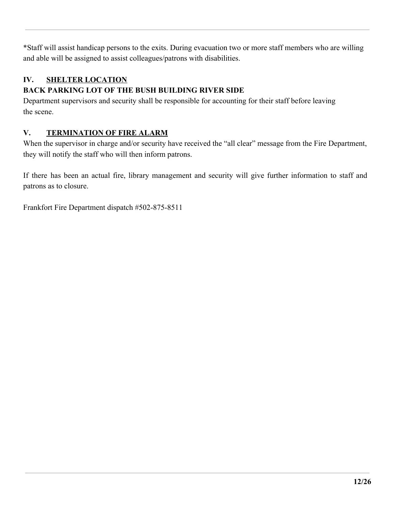\*Staff will assist handicap persons to the exits. During evacuation two or more staff members who are willing and able will be assigned to assist colleagues/patrons with disabilities.

## **IV. SHELTER LOCATION**

## **BACK PARKING LOT OF THE BUSH BUILDING RIVER SIDE**

Department supervisors and security shall be responsible for accounting for their staff before leaving the scene.

#### **V. TERMINATION OF FIRE ALARM**

When the supervisor in charge and/or security have received the "all clear" message from the Fire Department, they will notify the staff who will then inform patrons.

If there has been an actual fire, library management and security will give further information to staff and patrons as to closure.

Frankfort Fire Department dispatch #502-875-8511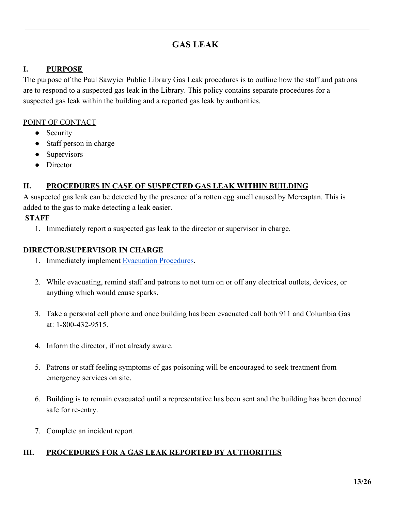## **GAS LEAK**

#### <span id="page-12-0"></span>**I. PURPOSE**

The purpose of the Paul Sawyier Public Library Gas Leak procedures is to outline how the staff and patrons are to respond to a suspected gas leak in the Library. This policy contains separate procedures for a suspected gas leak within the building and a reported gas leak by authorities.

#### POINT OF CONTACT

- Security
- Staff person in charge
- Supervisors
- Director

#### **II. PROCEDURES IN CASE OF SUSPECTED GAS LEAK WITHIN BUILDING**

A suspected gas leak can be detected by the presence of a rotten egg smell caused by Mercaptan. This is added to the gas to make detecting a leak easier.

#### **STAFF**

1. Immediately report a suspected gas leak to the director or supervisor in charge.

#### **DIRECTOR/SUPERVISOR IN CHARGE**

- 1. Immediately implement [Evacuation Procedures](#page-10-0).
- 2. While evacuating, remind staff and patrons to not turn on or off any electrical outlets, devices, or anything which would cause sparks.
- 3. Take a personal cell phone and once building has been evacuated call both 911 and Columbia Gas at: 1-800-432-9515.
- 4. Inform the director, if not already aware.
- 5. Patrons or staff feeling symptoms of gas poisoning will be encouraged to seek treatment from emergency services on site.
- 6. Building is to remain evacuated until a representative has been sent and the building has been deemed safe for re-entry.
- 7. Complete an incident report.

#### **III. PROCEDURES FOR A GAS LEAK REPORTED BY AUTHORITIES**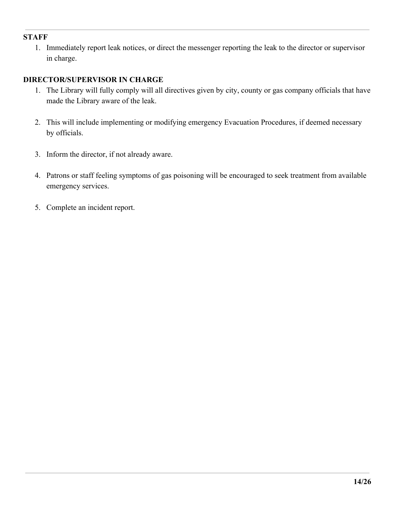#### **STAFF**

1. Immediately report leak notices, or direct the messenger reporting the leak to the director or supervisor in charge.

- 1. The Library will fully comply will all directives given by city, county or gas company officials that have made the Library aware of the leak.
- 2. This will include implementing or modifying emergency Evacuation Procedures, if deemed necessary by officials.
- 3. Inform the director, if not already aware.
- 4. Patrons or staff feeling symptoms of gas poisoning will be encouraged to seek treatment from available emergency services.
- 5. Complete an incident report.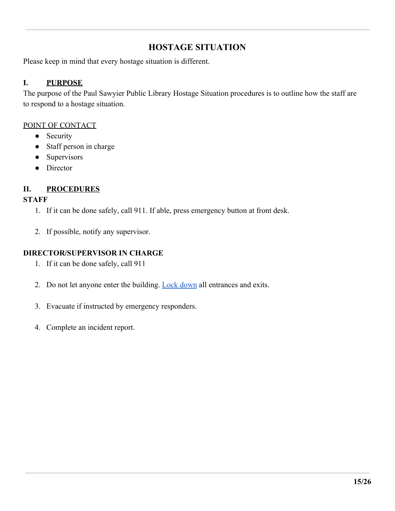## **HOSTAGE SITUATION**

<span id="page-14-0"></span>Please keep in mind that every hostage situation is different.

#### **I. PURPOSE**

The purpose of the Paul Sawyier Public Library Hostage Situation procedures is to outline how the staff are to respond to a hostage situation.

#### POINT OF CONTACT

- Security
- Staff person in charge
- Supervisors
- Director

## **II. PROCEDURES**

#### **STAFF**

- 1. If it can be done safely, call 911. If able, press emergency button at front desk.
- 2. If possible, notify any supervisor.

- 1. If it can be done safely, call 911
- 2. Do not let anyone enter the building. [Lock down](#page-21-0) all entrances and exits.
- 3. Evacuate if instructed by emergency responders.
- 4. Complete an incident report.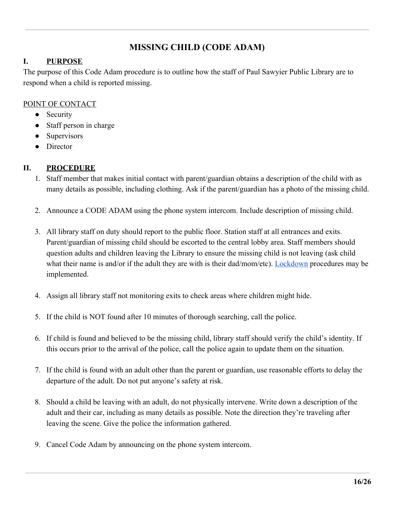## **MISSING CHILD (CODE ADAM)**

#### <span id="page-15-0"></span>**I. PURPOSE**

The purpose of this Code Adam procedure is to outline how the staff of Paul Sawyier Public Library are to respond when a child is reported missing.

#### POINT OF CONTACT

- Security
- Staff person in charge
- Supervisors
- Director

#### **II. PROCEDURE**

- 1. Staff member that makes initial contact with parent/guardian obtains a description of the child with as many details as possible, including clothing. Ask if the parent/guardian has a photo of the missing child.
- 2. Announce a CODE ADAM using the phone system intercom. Include description of missing child.
- 3. All library staff on duty should report to the public floor. Station staff at all entrances and exits. Parent/guardian of missing child should be escorted to the central lobby area. Staff members should question adults and children leaving the Library to ensure the missing child is not leaving (ask child what their name is and/or if the adult they are with is their dad/mom/etc). [Lockdown](#page-21-0) procedures may be implemented.
- 4. Assign all library staff not monitoring exits to check areas where children might hide.
- 5. If the child is NOT found after 10 minutes of thorough searching, call the police.
- 6. If child is found and believed to be the missing child, library staff should verify the child's identity. If this occurs prior to the arrival of the police, call the police again to update them on the situation.
- 7. If the child is found with an adult other than the parent or guardian, use reasonable efforts to delay the departure of the adult. Do not put anyone's safety at risk.
- 8. Should a child be leaving with an adult, do not physically intervene. Write down a description of the adult and their car, including as many details as possible. Note the direction they're traveling after leaving the scene. Give the police the information gathered.
- 9. Cancel Code Adam by announcing on the phone system intercom.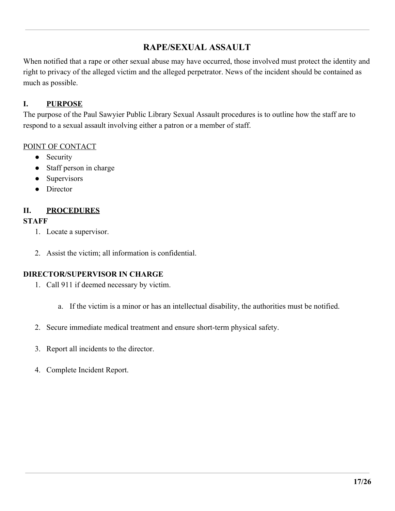## **RAPE/SEXUAL ASSAULT**

<span id="page-16-0"></span>When notified that a rape or other sexual abuse may have occurred, those involved must protect the identity and right to privacy of the alleged victim and the alleged perpetrator. News of the incident should be contained as much as possible.

#### **I. PURPOSE**

The purpose of the Paul Sawyier Public Library Sexual Assault procedures is to outline how the staff are to respond to a sexual assault involving either a patron or a member of staff.

#### POINT OF CONTACT

- Security
- Staff person in charge
- Supervisors
- Director

#### **II. PROCEDURES**

#### **STAFF**

- 1. Locate a supervisor.
- 2. Assist the victim; all information is confidential.

- 1. Call 911 if deemed necessary by victim.
	- a. If the victim is a minor or has an intellectual disability, the authorities must be notified.
- 2. Secure immediate medical treatment and ensure short-term physical safety.
- 3. Report all incidents to the director.
- 4. Complete Incident Report.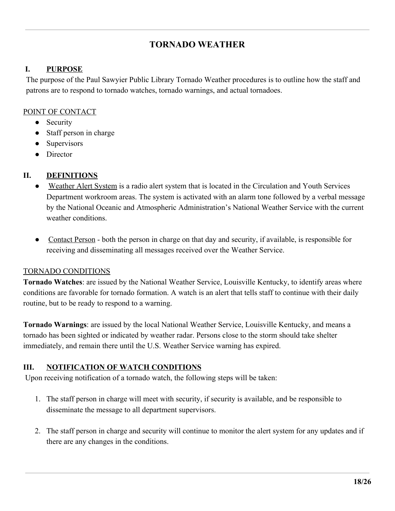## **TORNADO WEATHER**

#### <span id="page-17-0"></span> **I. PURPOSE**

The purpose of the Paul Sawyier Public Library Tornado Weather procedures is to outline how the staff and patrons are to respond to tornado watches, tornado warnings, and actual tornadoes.

#### POINT OF CONTACT

- Security
- Staff person in charge
- Supervisors
- Director

#### **II. DEFINITIONS**

- Weather Alert System is a radio alert system that is located in the Circulation and Youth Services Department workroom areas. The system is activated with an alarm tone followed by a verbal message by the National Oceanic and Atmospheric Administration's National Weather Service with the current weather conditions.
- Contact Person both the person in charge on that day and security, if available, is responsible for receiving and disseminating all messages received over the Weather Service.

#### TORNADO CONDITIONS

**Tornado Watches**: are issued by the National Weather Service, Louisville Kentucky, to identify areas where conditions are favorable for tornado formation. A watch is an alert that tells staff to continue with their daily routine, but to be ready to respond to a warning.

**Tornado Warnings**: are issued by the local National Weather Service, Louisville Kentucky, and means a tornado has been sighted or indicated by weather radar. Persons close to the storm should take shelter immediately, and remain there until the U.S. Weather Service warning has expired.

#### **III. NOTIFICATION OF WATCH CONDITIONS**

Upon receiving notification of a tornado watch, the following steps will be taken:

- 1. The staff person in charge will meet with security, if security is available, and be responsible to disseminate the message to all department supervisors.
- 2. The staff person in charge and security will continue to monitor the alert system for any updates and if there are any changes in the conditions.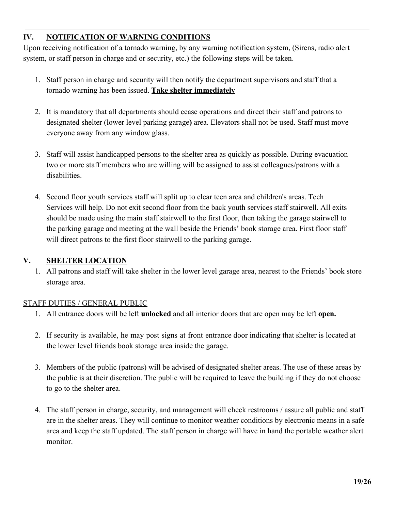#### **IV. NOTIFICATION OF WARNING CONDITIONS**

Upon receiving notification of a tornado warning, by any warning notification system, (Sirens, radio alert system, or staff person in charge and or security, etc.) the following steps will be taken.

- 1. Staff person in charge and security will then notify the department supervisors and staff that a tornado warning has been issued. **Take shelter immediately**
- 2. It is mandatory that all departments should cease operations and direct their staff and patrons to designated shelter (lower level parking garage**)** area. Elevators shall not be used. Staff must move everyone away from any window glass.
- 3. Staff will assist handicapped persons to the shelter area as quickly as possible. During evacuation two or more staff members who are willing will be assigned to assist colleagues/patrons with a disabilities.
- 4. Second floor youth services staff will split up to clear teen area and children's areas. Tech Services will help. Do not exit second floor from the back youth services staff stairwell. All exits should be made using the main staff stairwell to the first floor, then taking the garage stairwell to the parking garage and meeting at the wall beside the Friends' book storage area. First floor staff will direct patrons to the first floor stairwell to the parking garage.

#### **V. SHELTER LOCATION**

1. All patrons and staff will take shelter in the lower level garage area, nearest to the Friends' book store storage area.

#### STAFF DUTIES / GENERAL PUBLIC

- 1. All entrance doors will be left **unlocked** and all interior doors that are open may be left **open.**
- 2. If security is available, he may post signs at front entrance door indicating that shelter is located at the lower level friends book storage area inside the garage.
- 3. Members of the public (patrons) will be advised of designated shelter areas. The use of these areas by the public is at their discretion. The public will be required to leave the building if they do not choose to go to the shelter area.
- 4. The staff person in charge, security, and management will check restrooms / assure all public and staff are in the shelter areas. They will continue to monitor weather conditions by electronic means in a safe area and keep the staff updated. The staff person in charge will have in hand the portable weather alert monitor.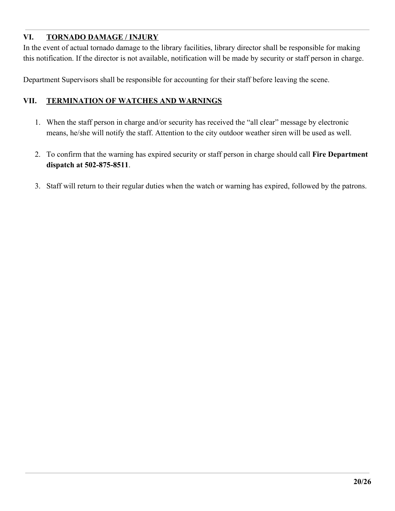#### **VI. TORNADO DAMAGE / INJURY**

In the event of actual tornado damage to the library facilities, library director shall be responsible for making this notification. If the director is not available, notification will be made by security or staff person in charge.

Department Supervisors shall be responsible for accounting for their staff before leaving the scene.

#### **VII. TERMINATION OF WATCHES AND WARNINGS**

- 1. When the staff person in charge and/or security has received the "all clear" message by electronic means, he/she will notify the staff. Attention to the city outdoor weather siren will be used as well.
- 2. To confirm that the warning has expired security or staff person in charge should call **Fire Department dispatch at 502-875-8511**.
- 3. Staff will return to their regular duties when the watch or warning has expired, followed by the patrons.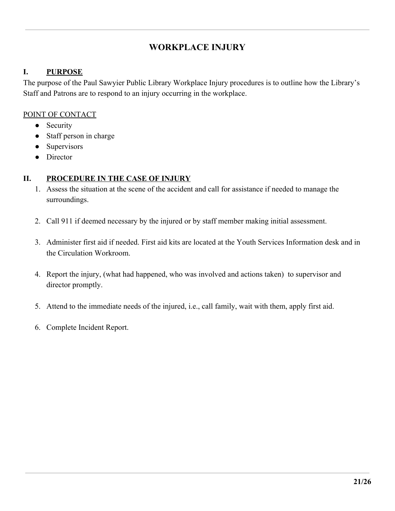## **WORKPLACE INJURY**

#### <span id="page-20-0"></span>**I. PURPOSE**

The purpose of the Paul Sawyier Public Library Workplace Injury procedures is to outline how the Library's Staff and Patrons are to respond to an injury occurring in the workplace.

#### POINT OF CONTACT

- Security
- Staff person in charge
- Supervisors
- Director

#### **II. PROCEDURE IN THE CASE OF INJURY**

- 1. Assess the situation at the scene of the accident and call for assistance if needed to manage the surroundings.
- 2. Call 911 if deemed necessary by the injured or by staff member making initial assessment.
- 3. Administer first aid if needed. First aid kits are located at the Youth Services Information desk and in the Circulation Workroom.
- 4. Report the injury, (what had happened, who was involved and actions taken) to supervisor and director promptly.
- 5. Attend to the immediate needs of the injured, i.e., call family, wait with them, apply first aid.
- 6. Complete Incident Report.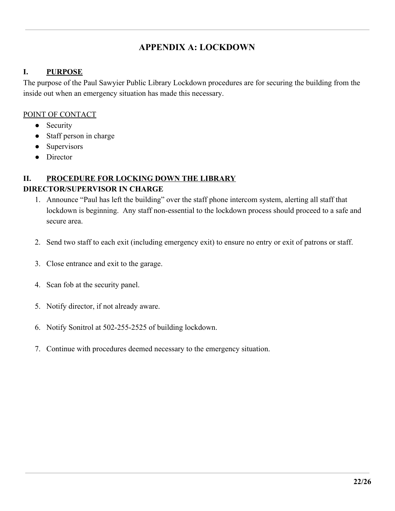## **APPENDIX A: LOCKDOWN**

#### <span id="page-21-0"></span>**I. PURPOSE**

The purpose of the Paul Sawyier Public Library Lockdown procedures are for securing the building from the inside out when an emergency situation has made this necessary.

#### POINT OF CONTACT

- Security
- Staff person in charge
- Supervisors
- Director

## **II. PROCEDURE FOR LOCKING DOWN THE LIBRARY**

- 1. Announce "Paul has left the building" over the staff phone intercom system, alerting all staff that lockdown is beginning. Any staff non-essential to the lockdown process should proceed to a safe and secure area.
- 2. Send two staff to each exit (including emergency exit) to ensure no entry or exit of patrons or staff.
- 3. Close entrance and exit to the garage.
- 4. Scan fob at the security panel.
- 5. Notify director, if not already aware.
- 6. Notify Sonitrol at 502-255-2525 of building lockdown.
- 7. Continue with procedures deemed necessary to the emergency situation.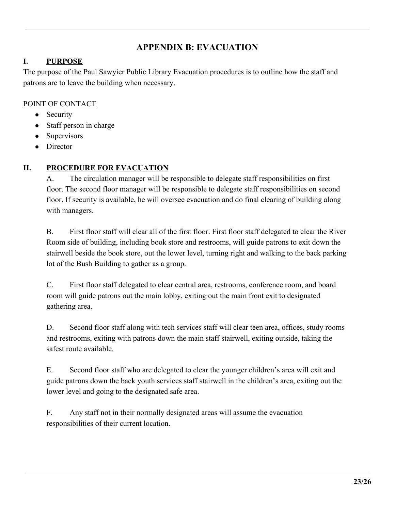## **APPENDIX B: EVACUATION**

#### <span id="page-22-0"></span>**I. PURPOSE**

The purpose of the Paul Sawyier Public Library Evacuation procedures is to outline how the staff and patrons are to leave the building when necessary.

#### POINT OF CONTACT

- Security
- Staff person in charge
- Supervisors
- Director

## **II. PROCEDURE FOR EVACUATION**

A. The circulation manager will be responsible to delegate staff responsibilities on first floor. The second floor manager will be responsible to delegate staff responsibilities on second floor. If security is available, he will oversee evacuation and do final clearing of building along with managers.

B. First floor staff will clear all of the first floor. First floor staff delegated to clear the River Room side of building, including book store and restrooms, will guide patrons to exit down the stairwell beside the book store, out the lower level, turning right and walking to the back parking lot of the Bush Building to gather as a group.

C. First floor staff delegated to clear central area, restrooms, conference room, and board room will guide patrons out the main lobby, exiting out the main front exit to designated gathering area.

D. Second floor staff along with tech services staff will clear teen area, offices, study rooms and restrooms, exiting with patrons down the main staff stairwell, exiting outside, taking the safest route available.

E. Second floor staff who are delegated to clear the younger children's area will exit and guide patrons down the back youth services staff stairwell in the children's area, exiting out the lower level and going to the designated safe area.

F. Any staff not in their normally designated areas will assume the evacuation responsibilities of their current location.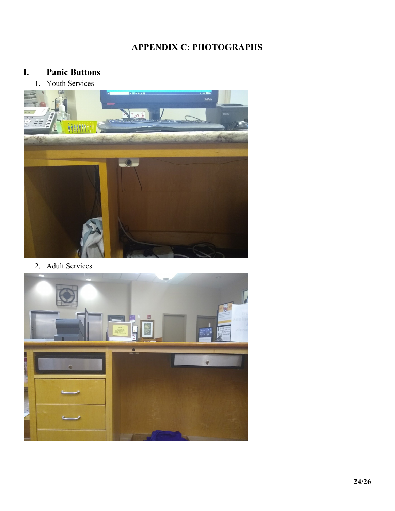## **APPENDIX C: PHOTOGRAPHS**

## <span id="page-23-0"></span>**I. Panic Buttons**

1. Youth Services



2. Adult Services

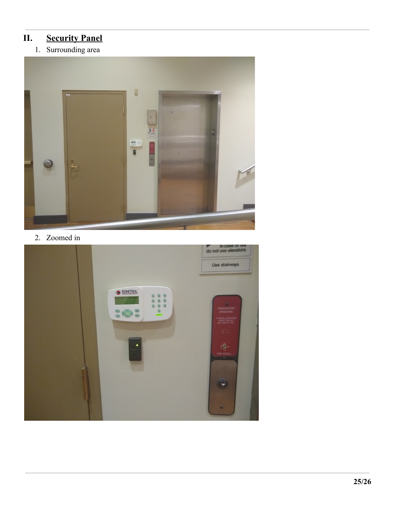## **II. Security Panel**

1. Surrounding area



2. Zoomed in